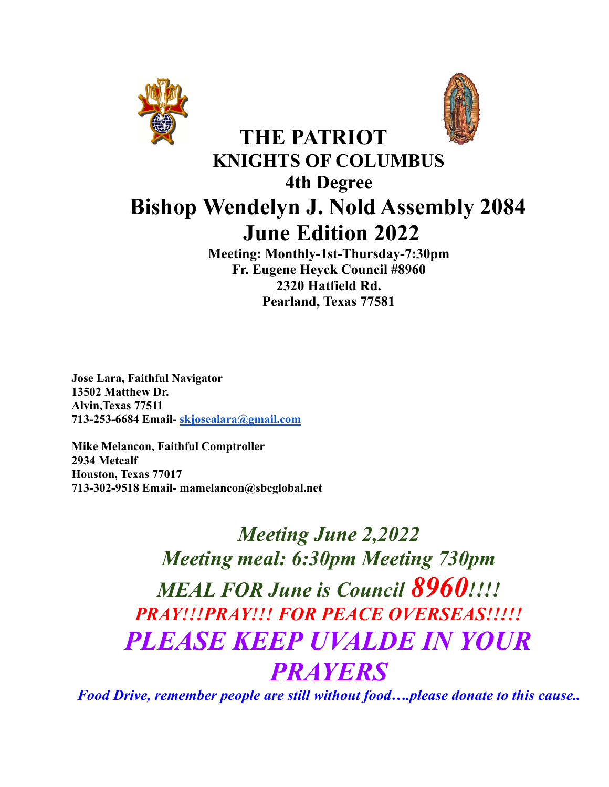



# **THE PATRIOT KNIGHTS OF COLUMBUS 4th Degree Bishop Wendelyn J. Nold Assembly 2084 June Edition 2022**

**Meeting: Monthly-1st-Thursday-7:30pm Fr. Eugene Heyck Council #8960 2320 Hatfield Rd. Pearland, Texas 77581**

**Jose Lara, Faithful Navigator 13502 Matthew Dr. Alvin,Texas 77511 713-253-6684 Email- [skjosealara@gmail.com](mailto:skjosealara@gmail.com)**

**Mike Melancon, Faithful Comptroller 2934 Metcalf Houston, Texas 77017 713-302-9518 Email- mamelancon@sbcglobal.net**

# *Meeting June 2,2022 Meeting meal: 6:30pm Meeting 730pm MEAL FOR June is Council 8960!!!! PRAY!!!PRAY!!! FOR PEACE OVERSEAS!!!!! PLEASE KEEP UVALDE IN YOUR PRAYERS*

*Food Drive, remember people are still without food….please donate to this cause..*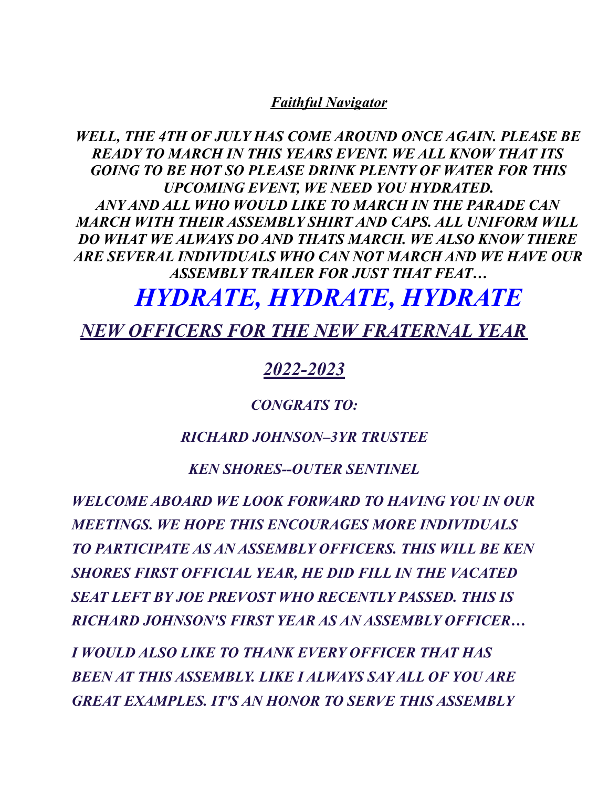#### *Faithful Navigator*

*WELL, THE 4TH OF JULY HAS COME AROUND ONCE AGAIN. PLEASE BE READY TO MARCH IN THIS YEARS EVENT. WE ALL KNOW THAT ITS GOING TO BE HOT SO PLEASE DRINK PLENTY OF WATER FOR THIS UPCOMING EVENT, WE NEED YOU HYDRATED. ANY AND ALL WHO WOULD LIKE TO MARCH IN THE PARADE CAN MARCH WITH THEIR ASSEMBLY SHIRT AND CAPS. ALL UNIFORM WILL DO WHAT WE ALWAYS DO AND THATS MARCH. WE ALSO KNOW THERE ARE SEVERAL INDIVIDUALS WHO CAN NOT MARCH AND WE HAVE OUR ASSEMBLY TRAILER FOR JUST THAT FEAT…*

# *HYDRATE, HYDRATE, HYDRATE*

*NEW OFFICERS FOR THE NEW FRATERNAL YEAR*

# *2022-2023*

#### *CONGRATS TO:*

#### *RICHARD JOHNSON–3YR TRUSTEE*

#### *KEN SHORES--OUTER SENTINEL*

*WELCOME ABOARD WE LOOK FORWARD TO HAVING YOU IN OUR MEETINGS. WE HOPE THIS ENCOURAGES MORE INDIVIDUALS TO PARTICIPATE AS AN ASSEMBLY OFFICERS. THIS WILL BE KEN SHORES FIRST OFFICIAL YEAR, HE DID FILL IN THE VACATED SEAT LEFT BY JOE PREVOST WHO RECENTLY PASSED. THIS IS RICHARD JOHNSON'S FIRST YEAR AS AN ASSEMBLY OFFICER…*

*I WOULD ALSO LIKE TO THANK EVERY OFFICER THAT HAS BEEN AT THIS ASSEMBLY. LIKE I ALWAYS SAY ALL OF YOU ARE GREAT EXAMPLES. IT'S AN HONOR TO SERVE THIS ASSEMBLY*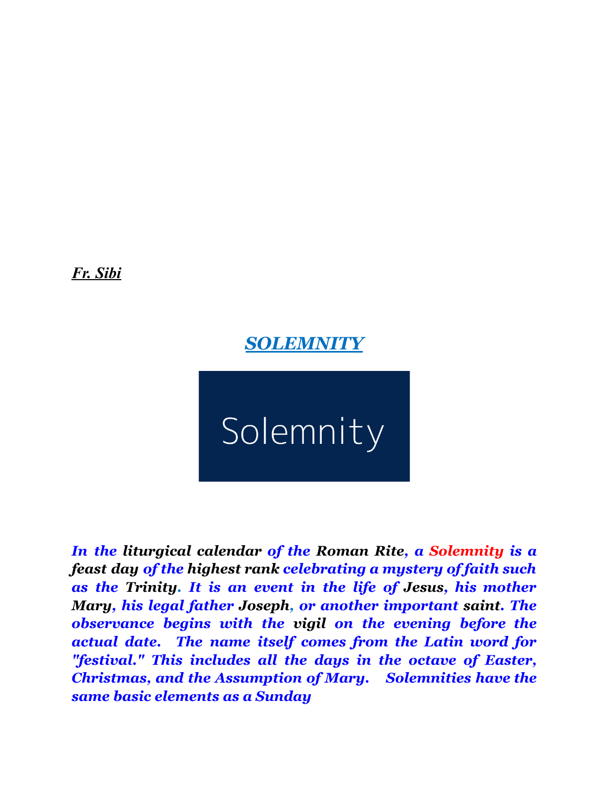*Fr. Sibi*

*SOLEMNITY*

Solemnity

*In the [liturgical](https://en.wikipedia.org/wiki/Liturgical_calendar) calendar of the [Roman](https://en.wikipedia.org/wiki/Roman_Rite) Rite, a Solemnity is a [feast](https://en.wikipedia.org/wiki/Feast_day) day of the [highest](https://en.wikipedia.org/wiki/Ranking_of_liturgical_days_in_the_Roman_Rite) rank celebrating a mystery of faith such as the [Trinity](https://en.wikipedia.org/wiki/Trinity). It is an event in the life of [Jesus](https://en.wikipedia.org/wiki/Jesus), his mother [Mary,](https://en.wikipedia.org/wiki/Blessed_Virgin_Mary) his legal father [Joseph](https://en.wikipedia.org/wiki/Saint_Joseph), or another important [saint](https://en.wikipedia.org/wiki/Saint). The observance begins with the [vigil](https://en.wikipedia.org/wiki/Vigil) on the evening before the actual date. The name itself comes from the Latin word for "festival." This includes all the days in the octave of Easter, Christmas, and the Assumption of Mary. Solemnities have the same basic elements as a Sunday*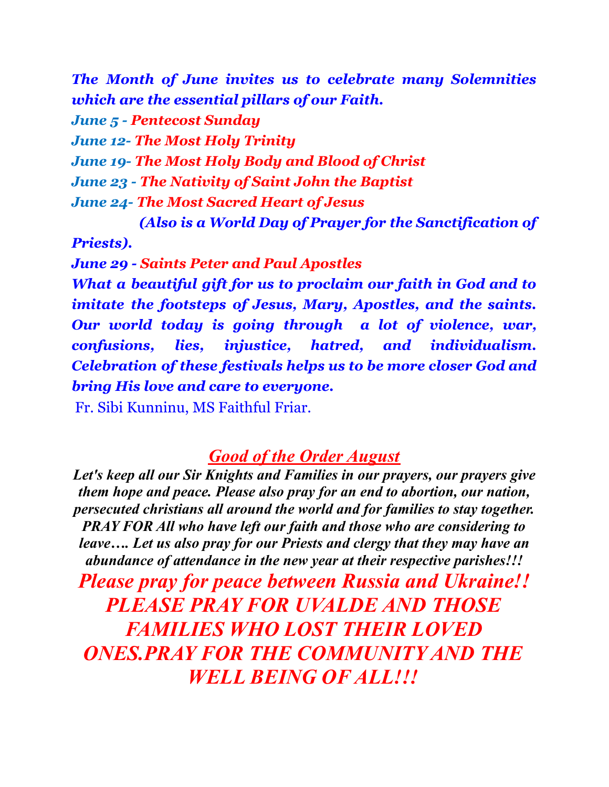*The Month of June invites us to celebrate many Solemnities which are the essential pillars of our Faith. June 5 - Pentecost Sunday June 12- The Most Holy Trinity June 19- The Most Holy Body and Blood of Christ June 23 - The Nativity of Saint John the Baptist June 24- The Most Sacred Heart of Jesus*

*(Also is a World Day of Prayer for the Sanctification of*

*Priests).*

*June 29 - Saints Peter and Paul Apostles*

*What a beautiful gift for us to proclaim our faith in God and to imitate the footsteps of Jesus, Mary, Apostles, and the saints. Our world today is going through a lot of violence, war, confusions, lies, injustice, hatred, and individualism. Celebration of these festivals helps us to be more closer God and bring His love and care to everyone.*

Fr. Sibi Kunninu, MS Faithful Friar.

# *Good of the Order August*

*Let's keep all our Sir Knights and Families in our prayers, our prayers give them hope and peace. Please also pray for an end to abortion, our nation, persecuted christians all around the world and for families to stay together. PRAY FOR All who have left our faith and those who are considering to leave…. Let us also pray for our Priests and clergy that they may have an abundance of attendance in the new year at their respective parishes!!!*

*Please pray for peace between Russia and Ukraine!! PLEASE PRAY FOR UVALDE AND THOSE FAMILIES WHO LOST THEIR LOVED ONES.PRAY FOR THE COMMUNITY AND THE WELL BEING OF ALL!!!*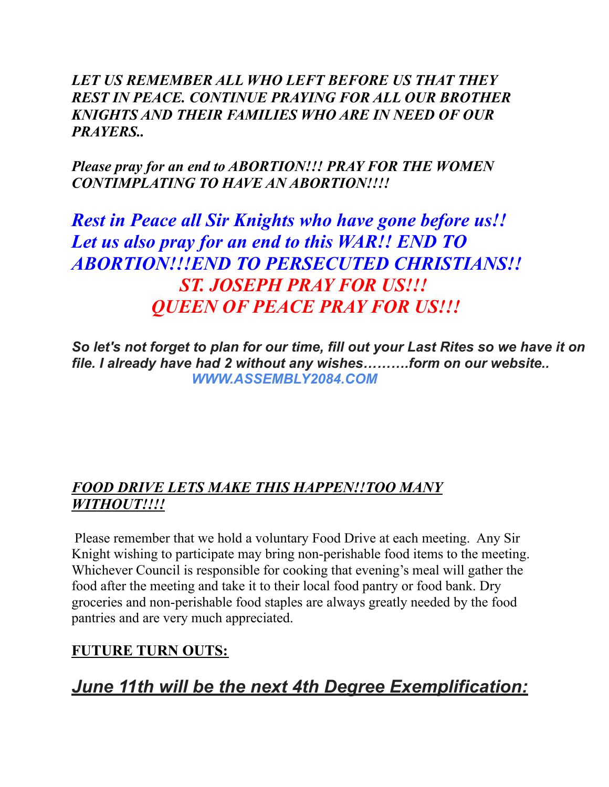*LET US REMEMBER ALL WHO LEFT BEFORE US THAT THEY REST IN PEACE. CONTINUE PRAYING FOR ALL OUR BROTHER KNIGHTS AND THEIR FAMILIES WHO ARE IN NEED OF OUR PRAYERS..*

*Please pray for an end to ABORTION!!! PRAY FOR THE WOMEN CONTIMPLATING TO HAVE AN ABORTION!!!!*

*Rest in Peace all Sir Knights who have gone before us!! Let us also pray for an end to this WAR!! END TO ABORTION!!!END TO PERSECUTED CHRISTIANS!! ST. JOSEPH PRAY FOR US!!! QUEEN OF PEACE PRAY FOR US!!!*

*So let's not forget to plan for our time, fill out your Last Rites so we have it on file. I already have had 2 without any wishes……….form on our website.. WWW.ASSEMBLY2084.COM*

#### *FOOD DRIVE LETS MAKE THIS HAPPEN!!TOO MANY WITHOUT!!!!*

Please remember that we hold a voluntary Food Drive at each meeting. Any Sir Knight wishing to participate may bring non-perishable food items to the meeting. Whichever Council is responsible for cooking that evening's meal will gather the food after the meeting and take it to their local food pantry or food bank. Dry groceries and non-perishable food staples are always greatly needed by the food pantries and are very much appreciated.

## **FUTURE TURN OUTS:**

*June 11th will be the next 4th Degree Exemplification:*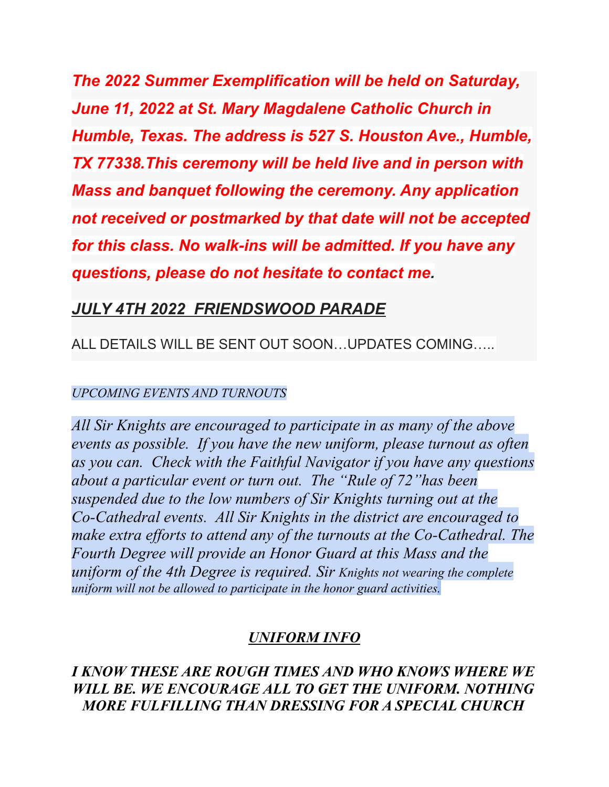*The 2022 Summer Exemplification will be held on Saturday, June 11, 2022 at St. Mary Magdalene Catholic Church in Humble, Texas. The address is 527 S. Houston Ave., Humble, TX 77338.This ceremony will be held live and in person with Mass and banquet following the ceremony. Any application not received or postmarked by that date will not be accepted for this class. No walk-ins will be admitted. If you have any questions, please do not hesitate to contact me.*

## *JULY 4TH 2022 FRIENDSWOOD PARADE*

## ALL DETAILS WILL BE SENT OUT SOON…UPDATES COMING…..

#### *UPCOMING EVENTS AND TURNOUTS*

*All Sir Knights are encouraged to participate in as many of the above events as possible. If you have the new uniform, please turnout as often as you can. Check with the Faithful Navigator if you have any questions about a particular event or turn out. The "Rule of 72"has been suspended due to the low numbers of Sir Knights turning out at the Co-Cathedral events. All Sir Knights in the district are encouraged to make extra ef orts to attend any of the turnouts at the Co-Cathedral. The Fourth Degree will provide an Honor Guard at this Mass and the uniform of the 4th Degree is required. Sir Knights not wearing the complete uniform will not be allowed to participate in the honor guard activities.*

## *UNIFORM INFO*

*I KNOW THESE ARE ROUGH TIMES AND WHO KNOWS WHERE WE WILL BE. WE ENCOURAGE ALL TO GET THE UNIFORM. NOTHING MORE FULFILLING THAN DRESSING FOR A SPECIAL CHURCH*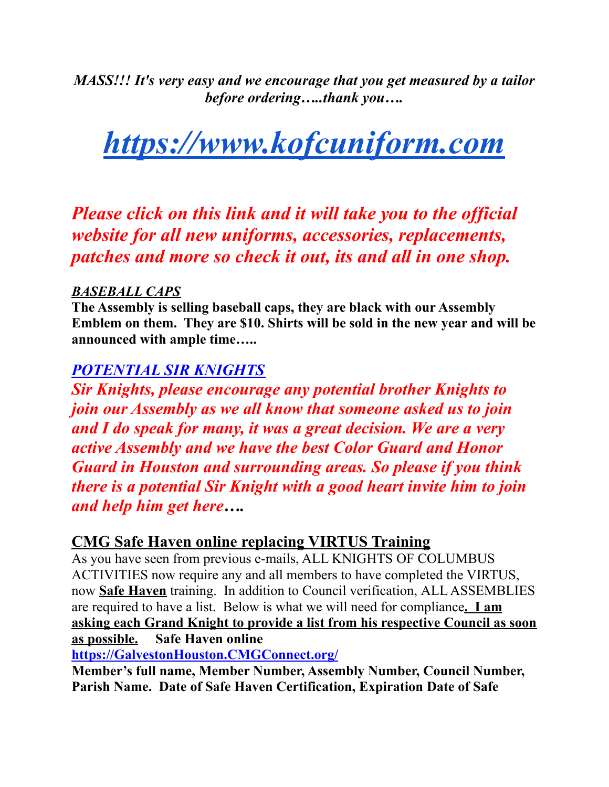*MASS!!! It's very easy and we encourage that you get measured by a tailor before ordering…..thank you….*

# *[https://www.kofcuniform.com](https://www.kofcuniform.com/uniform-packages/package/knights-of-columbus-executive-fit-uniform-package-uniform-package/)*

*Please click on this link and it will take you to the of icial website for all new uniforms, accessories, replacements, patches and more so check it out, its and all in one shop.*

#### *BASEBALL CAPS*

**The Assembly is selling baseball caps, they are black with our Assembly Emblem on them. They are \$10. Shirts will be sold in the new year and will be announced with ample time…..**

## *POTENTIAL SIR KNIGHTS*

*Sir Knights, please encourage any potential brother Knights to join our Assembly as we all know that someone asked us to join and I do speak for many, it was a great decision. We are a very active Assembly and we have the best Color Guard and Honor Guard in Houston and surrounding areas. So please if you think there is a potential Sir Knight with a good heart invite him to join and help him get here….*

#### **CMG Safe Haven online replacing VIRTUS Training**

As you have seen from previous e-mails, ALL KNIGHTS OF COLUMBUS ACTIVITIES now require any and all members to have completed the VIRTUS, now **Safe Haven** training. In addition to Council verification, ALL ASSEMBLIES are required to have a list. Below is what we will need for compliance**. I am asking each Grand Knight to provide a list from his respective Council as soon as possible. Safe Haven online**

**[https://GalvestonHouston.CMGConnect.org/](https://galvestonhouston.cmgconnect.org/)**

**Member's full name, Member Number, Assembly Number, Council Number, Parish Name. Date of Safe Haven Certification, Expiration Date of Safe**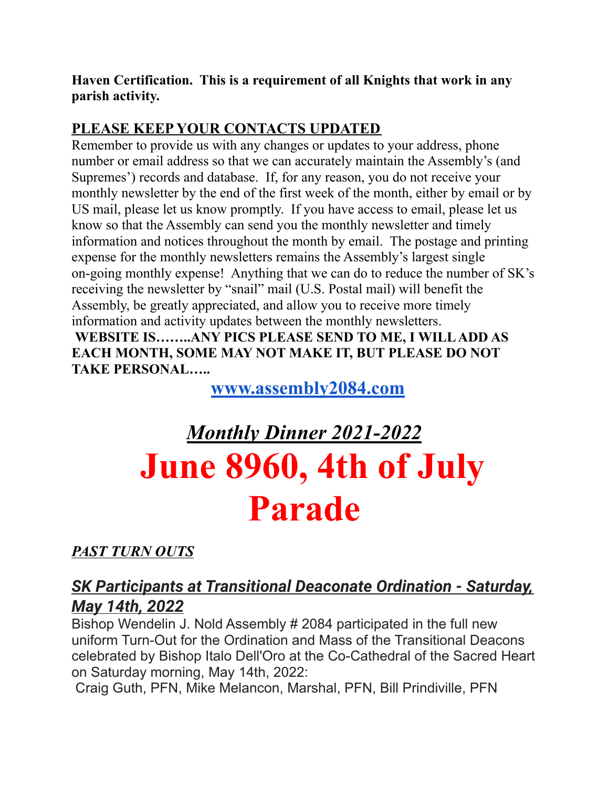**Haven Certification. This is a requirement of all Knights that work in any parish activity.**

## **PLEASE KEEP YOUR CONTACTS UPDATED**

Remember to provide us with any changes or updates to your address, phone number or email address so that we can accurately maintain the Assembly's (and Supremes') records and database. If, for any reason, you do not receive your monthly newsletter by the end of the first week of the month, either by email or by US mail, please let us know promptly. If you have access to email, please let us know so that the Assembly can send you the monthly newsletter and timely information and notices throughout the month by email. The postage and printing expense for the monthly newsletters remains the Assembly's largest single on-going monthly expense! Anything that we can do to reduce the number of SK's receiving the newsletter by "snail" mail (U.S. Postal mail) will benefit the Assembly, be greatly appreciated, and allow you to receive more timely information and activity updates between the monthly newsletters.

**WEBSITE IS……..ANY PICS PLEASE SEND TO ME, I WILLADD AS EACH MONTH, SOME MAY NOT MAKE IT, BUT PLEASE DO NOT TAKE PERSONAL…..**

**[www.assembly2084.com](http://www.assembly2084.com)**

# *Monthly Dinner 2021-2022* **June 8960, 4th of July Parade**

# *PAST TURN OUTS*

# *SK Participants at Transitional Deaconate Ordination - Saturday, May 14th, 2022*

Bishop Wendelin J. Nold Assembly # 2084 participated in the full new uniform Turn-Out for the Ordination and Mass of the Transitional Deacons celebrated by Bishop Italo Dell'Oro at the Co-Cathedral of the Sacred Heart on Saturday morning, May 14th, 2022:

Craig Guth, PFN, Mike Melancon, Marshal, PFN, Bill Prindiville, PFN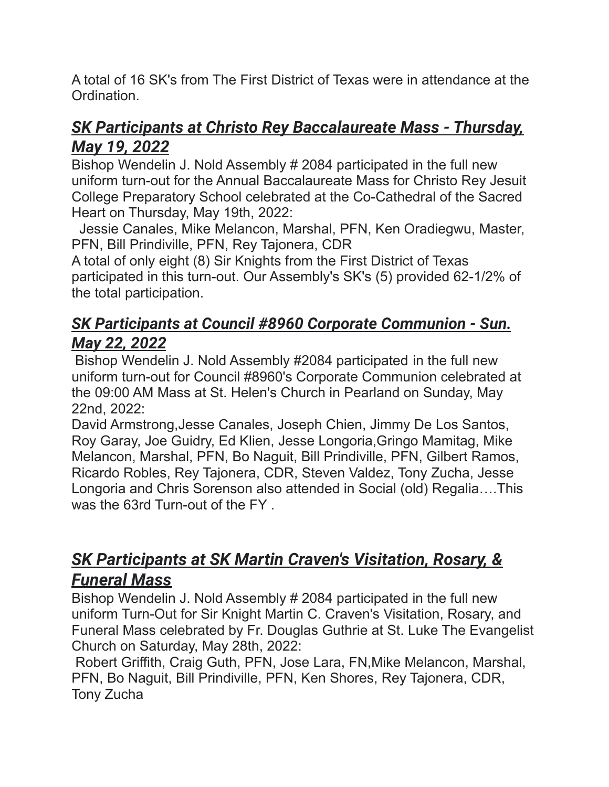A total of 16 SK's from The First District of Texas were in attendance at the Ordination.

# *SK Participants at Christo Rey Baccalaureate Mass - Thursday, May 19, 2022*

Bishop Wendelin J. Nold Assembly # 2084 participated in the full new uniform turn-out for the Annual Baccalaureate Mass for Christo Rey Jesuit College Preparatory School celebrated at the Co-Cathedral of the Sacred Heart on Thursday, May 19th, 2022:

Jessie Canales, Mike Melancon, Marshal, PFN, Ken Oradiegwu, Master, PFN, Bill Prindiville, PFN, Rey Tajonera, CDR

A total of only eight (8) Sir Knights from the First District of Texas participated in this turn-out. Our Assembly's SK's (5) provided 62-1/2% of the total participation.

# *SK Participants at Council #8960 Corporate Communion - Sun. May 22, 2022*

Bishop Wendelin J. Nold Assembly #2084 participated in the full new uniform turn-out for Council #8960's Corporate Communion celebrated at the 09:00 AM Mass at St. Helen's Church in Pearland on Sunday, May 22nd, 2022:

David Armstrong,Jesse Canales, Joseph Chien, Jimmy De Los Santos, Roy Garay, Joe Guidry, Ed Klien, Jesse Longoria,Gringo Mamitag, Mike Melancon, Marshal, PFN, Bo Naguit, Bill Prindiville, PFN, Gilbert Ramos, Ricardo Robles, Rey Tajonera, CDR, Steven Valdez, Tony Zucha, Jesse Longoria and Chris Sorenson also attended in Social (old) Regalia….This was the 63rd Turn-out of the FY .

# *SK Participants at SK Martin Craven's Visitation, Rosary, & Funeral Mass*

Bishop Wendelin J. Nold Assembly # 2084 participated in the full new uniform Turn-Out for Sir Knight Martin C. Craven's Visitation, Rosary, and Funeral Mass celebrated by Fr. Douglas Guthrie at St. Luke The Evangelist Church on Saturday, May 28th, 2022:

Robert Griffith, Craig Guth, PFN, Jose Lara, FN,Mike Melancon, Marshal, PFN, Bo Naguit, Bill Prindiville, PFN, Ken Shores, Rey Tajonera, CDR, Tony Zucha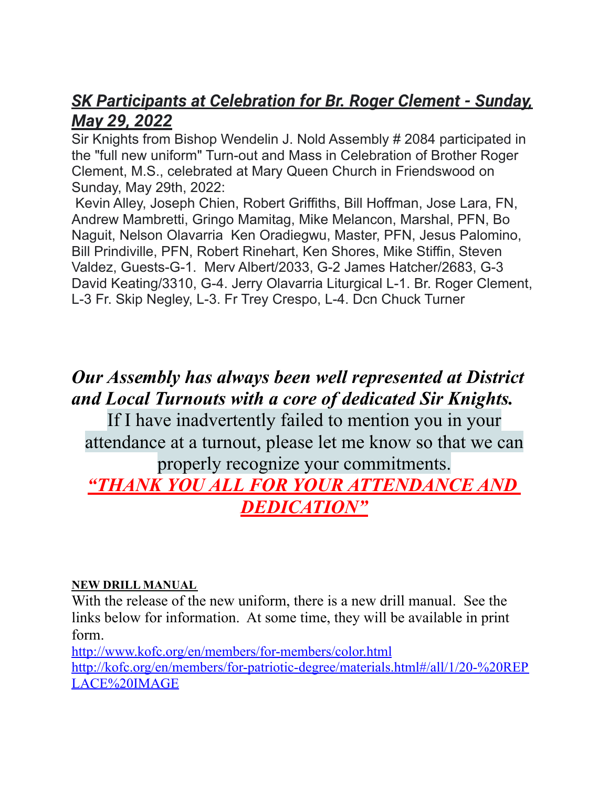# *SK Participants at Celebration for Br. Roger Clement - Sunday, May 29, 2022*

Sir Knights from Bishop Wendelin J. Nold Assembly # 2084 participated in the "full new uniform" Turn-out and Mass in Celebration of Brother Roger Clement, M.S., celebrated at Mary Queen Church in Friendswood on Sunday, May 29th, 2022:

Kevin Alley, Joseph Chien, Robert Griffiths, Bill Hoffman, Jose Lara, FN, Andrew Mambretti, Gringo Mamitag, Mike Melancon, Marshal, PFN, Bo Naguit, Nelson Olavarria Ken Oradiegwu, Master, PFN, Jesus Palomino, Bill Prindiville, PFN, Robert Rinehart, Ken Shores, Mike Stiffin, Steven Valdez, Guests-G-1. Merv Albert/2033, G-2 James Hatcher/2683, G-3 David Keating/3310, G-4. Jerry Olavarria Liturgical L-1. Br. Roger Clement, L-3 Fr. Skip Negley, L-3. Fr Trey Crespo, L-4. Dcn Chuck Turner

# *Our Assembly has always been well represented at District and Local Turnouts with a core of dedicated Sir Knights.*

If I have inadvertently failed to mention you in your attendance at a turnout, please let me know so that we can properly recognize your commitments. *"THANK YOU ALL FOR YOUR ATTENDANCE AND DEDICATION"*

#### **NEW DRILL MANUAL**

With the release of the new uniform, there is a new drill manual. See the links below for information. At some time, they will be available in print form.

<http://www.kofc.org/en/members/for-members/color.html> [http://kofc.org/en/members/for-patriotic-degree/materials.html#/all/1/20-%20REP](http://kofc.org/en/members/for-patriotic-degree/materials.html#/all/1/20-%20REPLACE%20IMAGE) [LACE%20IMAGE](http://kofc.org/en/members/for-patriotic-degree/materials.html#/all/1/20-%20REPLACE%20IMAGE)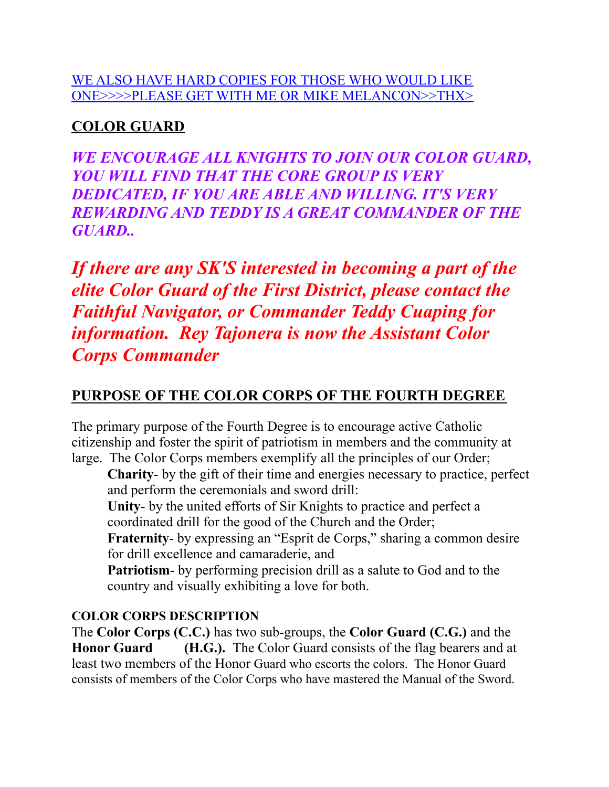#### WE ALSO HAVE HARD COPIES FOR THOSE WHO WOULD LIKE ONE>>>>PLEASE GET WITH ME OR MIKE MELANCON>>THX>

# **COLOR GUARD**

*WE ENCOURAGE ALL KNIGHTS TO JOIN OUR COLOR GUARD, YOU WILL FIND THAT THE CORE GROUP IS VERY DEDICATED, IF YOU ARE ABLE AND WILLING. IT'S VERY REWARDING AND TEDDY IS A GREAT COMMANDER OF THE GUARD..*

*If there are any SK'S interested in becoming a part of the elite Color Guard of the First District, please contact the Faithful Navigator, or Commander Teddy Cuaping for information. Rey Tajonera is now the Assistant Color Corps Commander*

# **PURPOSE OF THE COLOR CORPS OF THE FOURTH DEGREE**

The primary purpose of the Fourth Degree is to encourage active Catholic citizenship and foster the spirit of patriotism in members and the community at large. The Color Corps members exemplify all the principles of our Order;

**Charity**- by the gift of their time and energies necessary to practice, perfect and perform the ceremonials and sword drill:

**Unity**- by the united efforts of Sir Knights to practice and perfect a coordinated drill for the good of the Church and the Order;

**Fraternity**- by expressing an "Esprit de Corps," sharing a common desire for drill excellence and camaraderie, and

**Patriotism**- by performing precision drill as a salute to God and to the country and visually exhibiting a love for both.

#### **COLOR CORPS DESCRIPTION**

The **Color Corps (C.C.)** has two sub-groups, the **Color Guard (C.G.)** and the **Honor Guard (H.G.).** The Color Guard consists of the flag bearers and at least two members of the Honor Guard who escorts the colors. The Honor Guard consists of members of the Color Corps who have mastered the Manual of the Sword.